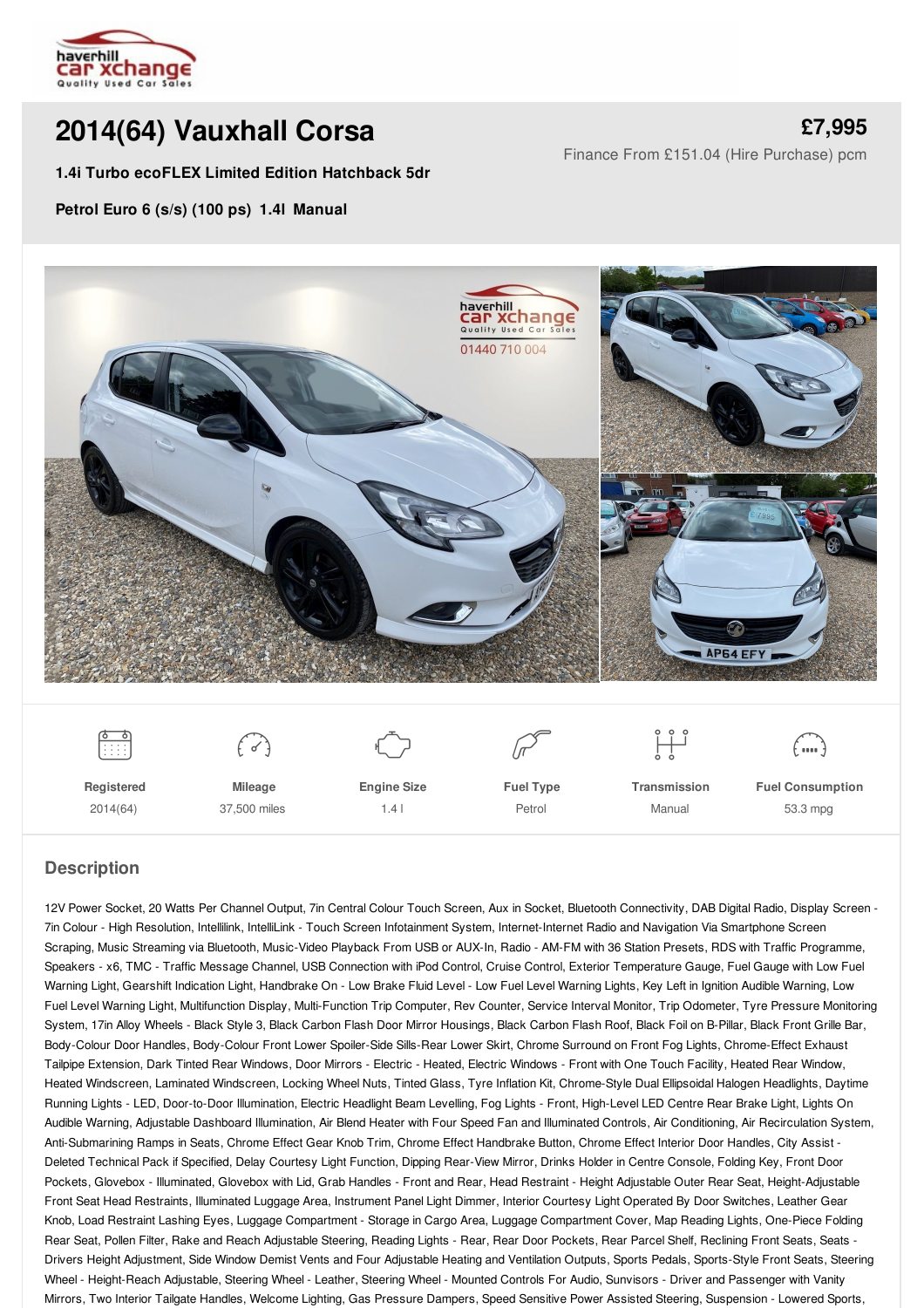

# **2014(64) [Vauxhall](/used-cars/pdf/) Corsa**

**1.4i Turbo ecoFLEX Limited Edition Hatchback 5dr**

**[£7,995](/used-cars/pdf/)** Finance From £151.04 (Hire Purchase) pcm

**Petrol Euro 6 (s/s) (100 ps) 1.4l Manual**





**Registered** 2014(64)

 $\begin{pmatrix} 1 & 1 \\ 1 & 1 \end{pmatrix}$ **Mileage** 37,500 miles

 $\begin{picture}(220,20) \put(0,0){\line(1,0){10}} \put(15,0){\line(1,0){10}} \put(15,0){\line(1,0){10}} \put(15,0){\line(1,0){10}} \put(15,0){\line(1,0){10}} \put(15,0){\line(1,0){10}} \put(15,0){\line(1,0){10}} \put(15,0){\line(1,0){10}} \put(15,0){\line(1,0){10}} \put(15,0){\line(1,0){10}} \put(15,0){\line(1,0){10}} \put(15,0){\line($ **Engine Size** 1.4 l

 $\mathbb{Z}$ **Fuel Type** Petrol

**Transmission** Manual

 $\begin{matrix} 0 & 0 & 0 \\ 0 & 0 & 0 \\ 0 & 0 & 0 \end{matrix}$ 

 $\binom{m}{m}$ **Fuel Consumption**

53.3 mpg

## **Description**

12V Power Socket, 20 Watts Per Channel Output, 7in Central Colour Touch Screen, Aux in Socket, Bluetooth Connectivity, DAB Digital Radio, Display Screen - 7in Colour - High Resolution, Intellilink, IntelliLink - Touch Screen Infotainment System, Internet-Internet Radio and Navigation Via Smartphone Screen Scraping, Music Streaming via Bluetooth, Music-Video Playback From USB or AUX-In, Radio - AM-FM with 36 Station Presets, RDS with Traffic Programme, Speakers - x6, TMC - Traffic Message Channel, USB Connection with iPod Control, Cruise Control, Exterior Temperature Gauge, Fuel Gauge with Low Fuel Warning Light, Gearshift Indication Light, Handbrake On - Low Brake Fluid Level - Low Fuel Level Warning Lights, Key Left in Ignition Audible Warning, Low Fuel Level Warning Light, Multifunction Display, Multi-Function Trip Computer, Rev Counter, Service Interval Monitor, Trip Odometer, Tyre Pressure Monitoring System, 17in Alloy Wheels - Black Style 3, Black Carbon Flash Door Mirror Housings, Black Carbon Flash Roof, Black Foil on B-Pillar, Black Front Grille Bar, Body-Colour Door Handles, Body-Colour Front Lower Spoiler-Side Sills-Rear Lower Skirt, Chrome Surround on Front Fog Lights, Chrome-Effect Exhaust Tailpipe Extension, Dark Tinted Rear Windows, Door Mirrors - Electric - Heated, Electric Windows - Front with One Touch Facility, Heated Rear Window, Heated Windscreen, Laminated Windscreen, Locking Wheel Nuts, Tinted Glass, Tyre Inflation Kit, Chrome-Style Dual Ellipsoidal Halogen Headlights, Daytime Running Lights - LED, Door-to-Door Illumination, Electric Headlight Beam Levelling, Fog Lights - Front, High-Level LED Centre Rear Brake Light, Lights On Audible Warning, Adjustable Dashboard Illumination, Air Blend Heater with Four Speed Fan and Illuminated Controls, Air Conditioning, Air Recirculation System, Anti-Submarining Ramps in Seats, Chrome Effect Gear Knob Trim, Chrome Effect Handbrake Button, Chrome Effect Interior Door Handles, City Assist - Deleted Technical Pack if Specified, Delay Courtesy Light Function, Dipping Rear-View Mirror, Drinks Holder in Centre Console, Folding Key, Front Door Pockets, Glovebox - Illuminated, Glovebox with Lid, Grab Handles - Front and Rear, Head Restraint - Height Adjustable Outer Rear Seat, Height-Adjustable Front Seat Head Restraints, Illuminated Luggage Area, Instrument Panel Light Dimmer, Interior Courtesy Light Operated By Door Switches, Leather Gear Knob, Load Restraint Lashing Eyes, Luggage Compartment - Storage in Cargo Area, Luggage Compartment Cover, Map Reading Lights, One-Piece Folding Rear Seat, Pollen Filter, Rake and Reach Adjustable Steering, Reading Lights - Rear, Rear Door Pockets, Rear Parcel Shelf, Reclining Front Seats, Seats -Drivers Height Adjustment, Side Window Demist Vents and Four Adjustable Heating and Ventilation Outputs, Sports Pedals, Sports-Style Front Seats, Steering Wheel - Height-Reach Adjustable, Steering Wheel - Leather, Steering Wheel - Mounted Controls For Audio, Sunvisors - Driver and Passenger with Vanity Mirrors, Two Interior Tailgate Handles, Welcome Lighting, Gas Pressure Dampers, Speed Sensitive Power Assisted Steering, Suspension - Lowered Sports,